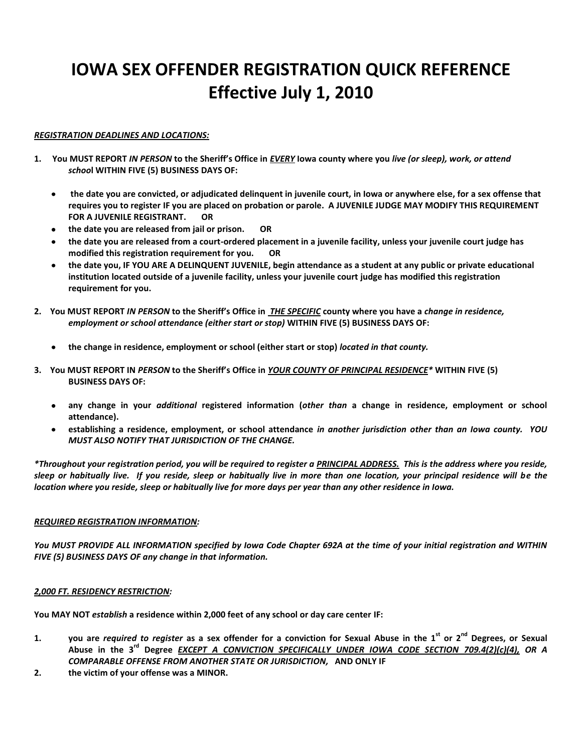# **IOWA SEX OFFENDER REGISTRATION QUICK REFERENCE Effective July 1, 2010**

# *REGISTRATION DEADLINES AND LOCATIONS:*

- **1. You MUST REPORT** *IN PERSON* **to the Sheriff's Office in** *EVERY* **Iowa county where you** *live (or sleep), work, or attend schoo***l WITHIN FIVE (5) BUSINESS DAYS OF:**
	- **the date you are convicted, or adjudicated delinquent in juvenile court, in Iowa or anywhere else, for a sex offense that requires you to register IF you are placed on probation or parole. A JUVENILE JUDGE MAY MODIFY THIS REQUIREMENT FOR A JUVENILE REGISTRANT. OR**
	- **the date you are released from jail or prison. OR**
	- **the date you are released from a court-ordered placement in a juvenile facility, unless your juvenile court judge has modified this registration requirement for you. OR**
	- **the date you, IF YOU ARE A DELINQUENT JUVENILE, begin attendance as a student at any public or private educational institution located outside of a juvenile facility, unless your juvenile court judge has modified this registration requirement for you.**
- **2. You MUST REPORT** *IN PERSON* **to the Sheriff's Office in** *THE SPECIFIC* **county where you have a** *change in residence, employment or school attendanc***e** *(either start or stop)* **WITHIN FIVE (5) BUSINESS DAYS OF:**
	- **the change in residence, employment or school (either start or stop)** *located in that county.*
- **3. You MUST REPORT IN** *PERSON* **to the Sheriff's Office in** *YOUR COUNTY OF PRINCIPAL RESIDENCE\** **WITHIN FIVE (5) BUSINESS DAYS OF:**
	- $\bullet$ **any change in your** *additional* **registered information (***other than* **a change in residence, employment or school attendance).**
	- **establishing a residence, employment, or school attendance** *in another jurisdiction other than an Iowa county. YOU MUST ALSO NOTIFY THAT JURISDICTION OF THE CHANGE.*

*\*Throughout your registration period, you will be required to register a PRINCIPAL ADDRESS. This is the address where you reside, sleep or habitually live. If you reside, sleep or habitually live in more than one location, your principal residence will be the location where you reside, sleep or habitually live for more days per year than any other residence in Iowa.* 

# *REQUIRED REGISTRATION INFORMATION:*

*You MUST PROVIDE ALL INFORMATION specified by Iowa Code Chapter 692A at the time of your initial registration and WITHIN FIVE (5) BUSINESS DAYS OF any change in that information.*

# *2,000 FT. RESIDENCY RESTRICTION:*

**You MAY NOT** *establish* **a residence within 2,000 feet of any school or day care center IF:**

- **1. you are** *required to register* **as a sex offender for a conviction for Sexual Abuse in the 1st or 2nd Degrees, or Sexual Abuse in the 3rd Degree** *EXCEPT A CONVICTION SPECIFICALLY UNDER IOWA CODE SECTION 709.4(2)(c)(4), OR A COMPARABLE OFFENSE FROM ANOTHER STATE OR JURISDICTION,* **AND ONLY IF**
- **2. the victim of your offense was a MINOR.**